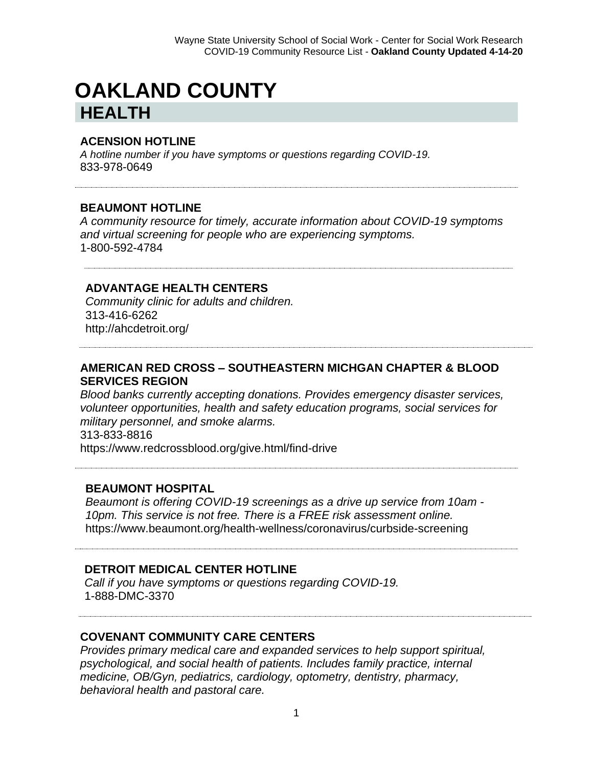# **OAKLAND COUNTY HEALTH**

#### **ACENSION HOTLINE**

*A hotline number if you have symptoms or questions regarding COVID-19.* 833-978-0649

#### **BEAUMONT HOTLINE**

*A community resource for timely, accurate information about COVID-19 symptoms and virtual screening for people who are experiencing symptoms.* 1-800-592-4784

#### **ADVANTAGE HEALTH CENTERS**

*Community clinic for adults and children.* 313-416-6262 http://ahcdetroit.org/

### **AMERICAN RED CROSS – SOUTHEASTERN MICHGAN CHAPTER & BLOOD SERVICES REGION**

*Blood banks currently accepting donations. Provides emergency disaster services, volunteer opportunities, health and safety education programs, social services for military personnel, and smoke alarms.* 313-833-8816

https://www.redcrossblood.org/give.html/find-drive

#### **BEAUMONT HOSPITAL**

*Beaumont is offering COVID-19 screenings as a drive up service from 10am - 10pm. This service is not free. There is a FREE risk assessment online.*  https://www.beaumont.org/health-wellness/coronavirus/curbside-screening

#### **DETROIT MEDICAL CENTER HOTLINE**

*Call if you have symptoms or questions regarding COVID-19.* 1-888-DMC-3370

#### **COVENANT COMMUNITY CARE CENTERS**

*Provides primary medical care and expanded services to help support spiritual, psychological, and social health of patients. Includes family practice, internal medicine, OB/Gyn, pediatrics, cardiology, optometry, dentistry, pharmacy, behavioral health and pastoral care.*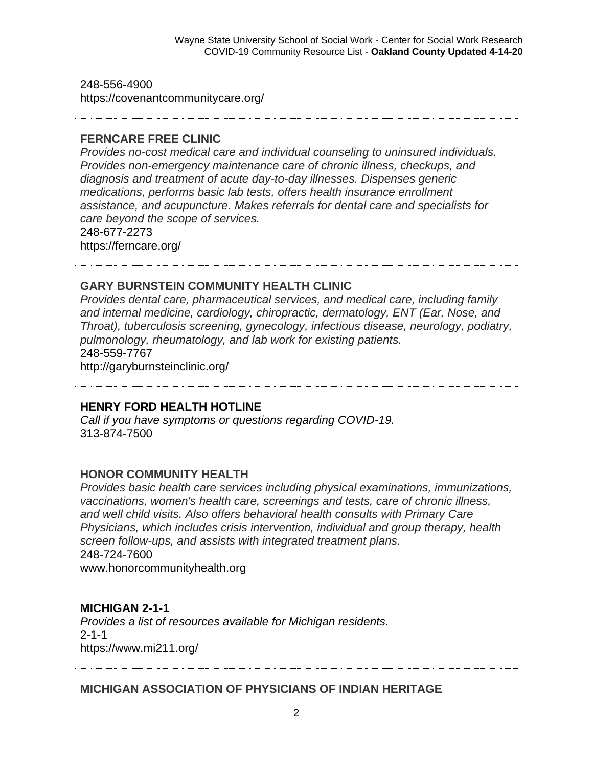248-556-4900 https://covenantcommunitycare.org/

#### **FERNCARE FREE CLINIC**

*Provides no-cost medical care and individual counseling to uninsured individuals. Provides non-emergency maintenance care of chronic illness, checkups, and diagnosis and treatment of acute day-to-day illnesses. Dispenses generic medications, performs basic lab tests, offers health insurance enrollment assistance, and acupuncture. Makes referrals for dental care and specialists for care beyond the scope of services.* 248-677-2273 https://ferncare.org/

#### **GARY BURNSTEIN COMMUNITY HEALTH CLINIC**

*Provides dental care, pharmaceutical services, and medical care, including family and internal medicine, cardiology, chiropractic, dermatology, ENT (Ear, Nose, and Throat), tuberculosis screening, gynecology, infectious disease, neurology, podiatry, pulmonology, rheumatology, and lab work for existing patients.* 248-559-7767

http://garyburnsteinclinic.org/

#### **HENRY FORD HEALTH HOTLINE**

*Call if you have symptoms or questions regarding COVID-19.* 313-874-7500

#### **HONOR COMMUNITY HEALTH**

*Provides basic health care services including physical examinations, immunizations, vaccinations, women's health care, screenings and tests, care of chronic illness, and well child visits. Also offers behavioral health consults with Primary Care Physicians, which includes crisis intervention, individual and group therapy, health screen follow-ups, and assists with integrated treatment plans.* 248-724-7600

www.honorcommunityhealth.org

#### **MICHIGAN 2-1-1**

*Provides a list of resources available for Michigan residents.*  2-1-1 https://www.mi211.org/

**MICHIGAN ASSOCIATION OF PHYSICIANS OF INDIAN HERITAGE**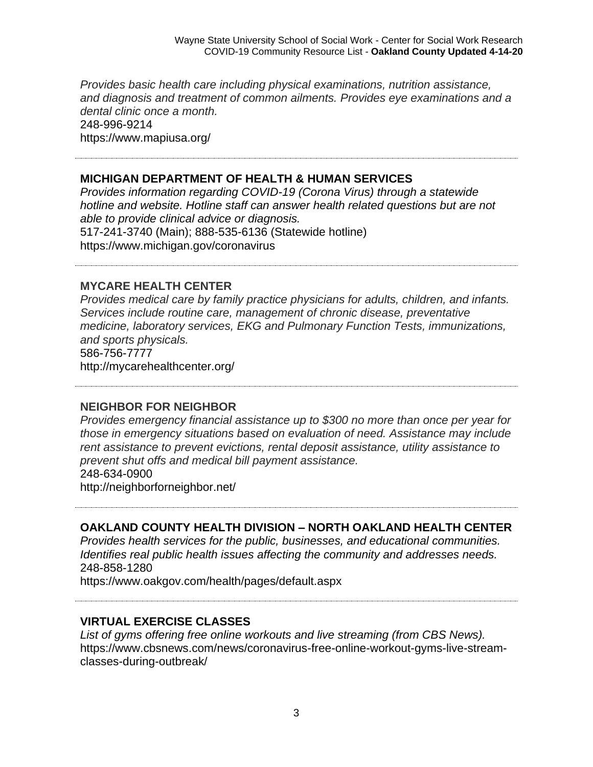*Provides basic health care including physical examinations, nutrition assistance, and diagnosis and treatment of common ailments. Provides eye examinations and a dental clinic once a month.* 248-996-9214 https://www.mapiusa.org/

#### **MICHIGAN DEPARTMENT OF HEALTH & HUMAN SERVICES**

*Provides information regarding COVID-19 (Corona Virus) through a statewide hotline and website. Hotline staff can answer health related questions but are not able to provide clinical advice or diagnosis.* 517-241-3740 (Main); 888-535-6136 (Statewide hotline) https://www.michigan.gov/coronavirus

**MYCARE HEALTH CENTER**

*Provides medical care by family practice physicians for adults, children, and infants. Services include routine care, management of chronic disease, preventative medicine, laboratory services, EKG and Pulmonary Function Tests, immunizations, and sports physicals.* 586-756-7777

http://mycarehealthcenter.org/

#### **NEIGHBOR FOR NEIGHBOR**

*Provides emergency financial assistance up to \$300 no more than once per year for those in emergency situations based on evaluation of need. Assistance may include rent assistance to prevent evictions, rental deposit assistance, utility assistance to prevent shut offs and medical bill payment assistance.* 248-634-0900 http://neighborforneighbor.net/

**OAKLAND COUNTY HEALTH DIVISION – NORTH OAKLAND HEALTH CENTER**

*Provides health services for the public, businesses, and educational communities. Identifies real public health issues affecting the community and addresses needs.* 248-858-1280

https://www.oakgov.com/health/pages/default.aspx

# **VIRTUAL EXERCISE CLASSES**

*List of gyms offering free online workouts and live streaming (from CBS News).* https://www.cbsnews.com/news/coronavirus-free-online-workout-gyms-live-streamclasses-during-outbreak/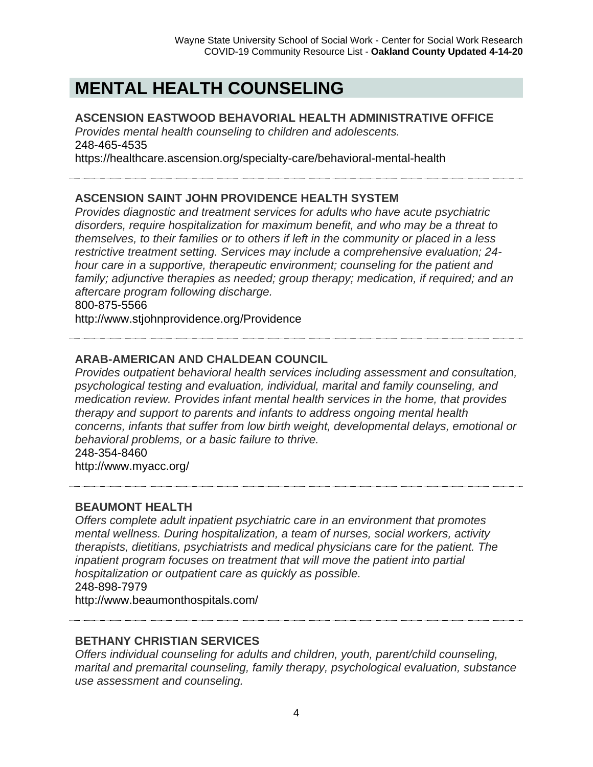# **MENTAL HEALTH COUNSELING**

### **ASCENSION EASTWOOD BEHAVORIAL HEALTH ADMINISTRATIVE OFFICE**

*Provides mental health counseling to children and adolescents.* 248-465-4535

https://healthcare.ascension.org/specialty-care/behavioral-mental-health

# **ASCENSION SAINT JOHN PROVIDENCE HEALTH SYSTEM**

*Provides diagnostic and treatment services for adults who have acute psychiatric disorders, require hospitalization for maximum benefit, and who may be a threat to themselves, to their families or to others if left in the community or placed in a less restrictive treatment setting. Services may include a comprehensive evaluation; 24 hour care in a supportive, therapeutic environment; counseling for the patient and family; adjunctive therapies as needed; group therapy; medication, if required; and an aftercare program following discharge.*

800-875-5566

http://www.stjohnprovidence.org/Providence

# **ARAB-AMERICAN AND CHALDEAN COUNCIL**

*Provides outpatient behavioral health services including assessment and consultation, psychological testing and evaluation, individual, marital and family counseling, and medication review. Provides infant mental health services in the home, that provides therapy and support to parents and infants to address ongoing mental health concerns, infants that suffer from low birth weight, developmental delays, emotional or behavioral problems, or a basic failure to thrive.*

248-354-8460

http://www.myacc.org/

# **BEAUMONT HEALTH**

*Offers complete adult inpatient psychiatric care in an environment that promotes mental wellness. During hospitalization, a team of nurses, social workers, activity therapists, dietitians, psychiatrists and medical physicians care for the patient. The inpatient program focuses on treatment that will move the patient into partial hospitalization or outpatient care as quickly as possible.* 248-898-7979

http://www.beaumonthospitals.com/

# **BETHANY CHRISTIAN SERVICES**

*Offers individual counseling for adults and children, youth, parent/child counseling, marital and premarital counseling, family therapy, psychological evaluation, substance use assessment and counseling.*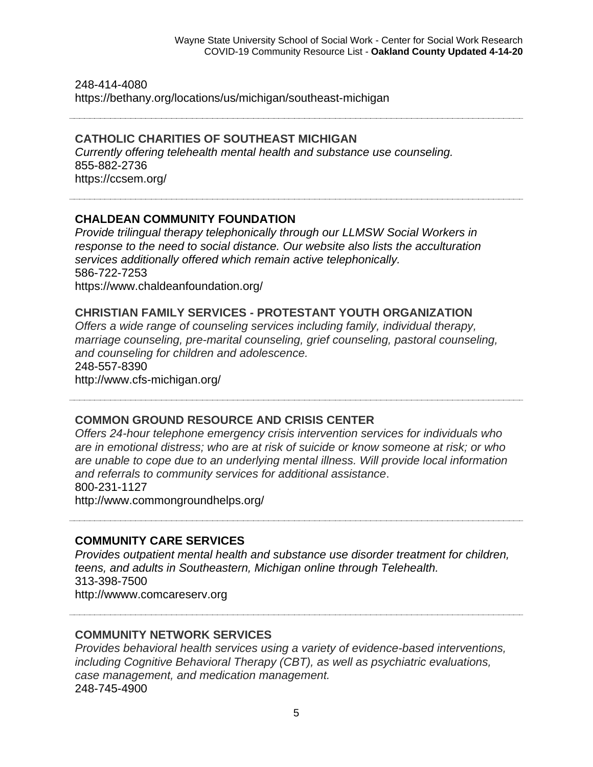248-414-4080 https://bethany.org/locations/us/michigan/southeast-michigan

#### **CATHOLIC CHARITIES OF SOUTHEAST MICHIGAN**

*Currently offering telehealth mental health and substance use counseling.*  855-882-2736 https://ccsem.org/

#### **CHALDEAN COMMUNITY FOUNDATION**

*Provide trilingual therapy telephonically through our LLMSW Social Workers in response to the need to social distance. Our website also lists the acculturation services additionally offered which remain active telephonically.* 586-722-7253 https://www.chaldeanfoundation.org/

#### **CHRISTIAN FAMILY SERVICES - PROTESTANT YOUTH ORGANIZATION**

*Offers a wide range of counseling services including family, individual therapy, marriage counseling, pre-marital counseling, grief counseling, pastoral counseling, and counseling for children and adolescence.* 248-557-8390

http://www.cfs-michigan.org/

#### **COMMON GROUND RESOURCE AND CRISIS CENTER**

*Offers 24-hour telephone emergency crisis intervention services for individuals who are in emotional distress; who are at risk of suicide or know someone at risk; or who are unable to cope due to an underlying mental illness. Will provide local information and referrals to community services for additional assistance*. 800-231-1127

http://www.commongroundhelps.org/

#### **COMMUNITY CARE SERVICES**

*Provides outpatient mental health and substance use disorder treatment for children, teens, and adults in Southeastern, Michigan online through Telehealth.* 313-398-7500 http://wwww.comcareserv.org

#### **COMMUNITY NETWORK SERVICES**

*Provides behavioral health services using a variety of evidence-based interventions, including Cognitive Behavioral Therapy (CBT), as well as psychiatric evaluations, case management, and medication management.* 248-745-4900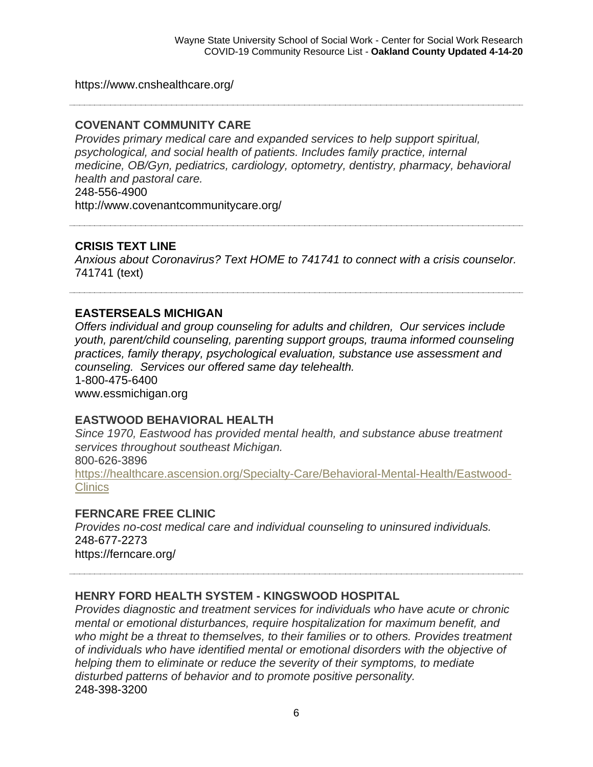https://www.cnshealthcare.org/

### **COVENANT COMMUNITY CARE**

*Provides primary medical care and expanded services to help support spiritual, psychological, and social health of patients. Includes family practice, internal medicine, OB/Gyn, pediatrics, cardiology, optometry, dentistry, pharmacy, behavioral health and pastoral care.* 248-556-4900

http://www.covenantcommunitycare.org/

### **CRISIS TEXT LINE**

*Anxious about Coronavirus? Text HOME to 741741 to connect with a crisis counselor.* 741741 (text)

# **EASTERSEALS MICHIGAN**

*Offers individual and group counseling for adults and children, Our services include youth, parent/child counseling, parenting support groups, trauma informed counseling practices, family therapy, psychological evaluation, substance use assessment and counseling. Services our offered same day telehealth.* 1-800-475-6400 www.essmichigan.org

#### **EASTWOOD BEHAVIORAL HEALTH**

*Since 1970, Eastwood has provided mental health, and substance abuse treatment services throughout southeast Michigan.* 800-626-3896 [https://healthcare.ascension.org/Specialty-Care/Behavioral-Mental-Health/Eastwood-](https://healthcare.ascension.org/Specialty-Care/Behavioral-Mental-Health/Eastwood-Clinics)**[Clinics](https://healthcare.ascension.org/Specialty-Care/Behavioral-Mental-Health/Eastwood-Clinics)** 

#### **FERNCARE FREE CLINIC**

*Provides no-cost medical care and individual counseling to uninsured individuals.* 248-677-2273 https://ferncare.org/

# **HENRY FORD HEALTH SYSTEM - KINGSWOOD HOSPITAL**

*Provides diagnostic and treatment services for individuals who have acute or chronic mental or emotional disturbances, require hospitalization for maximum benefit, and who might be a threat to themselves, to their families or to others. Provides treatment of individuals who have identified mental or emotional disorders with the objective of helping them to eliminate or reduce the severity of their symptoms, to mediate disturbed patterns of behavior and to promote positive personality.*  248-398-3200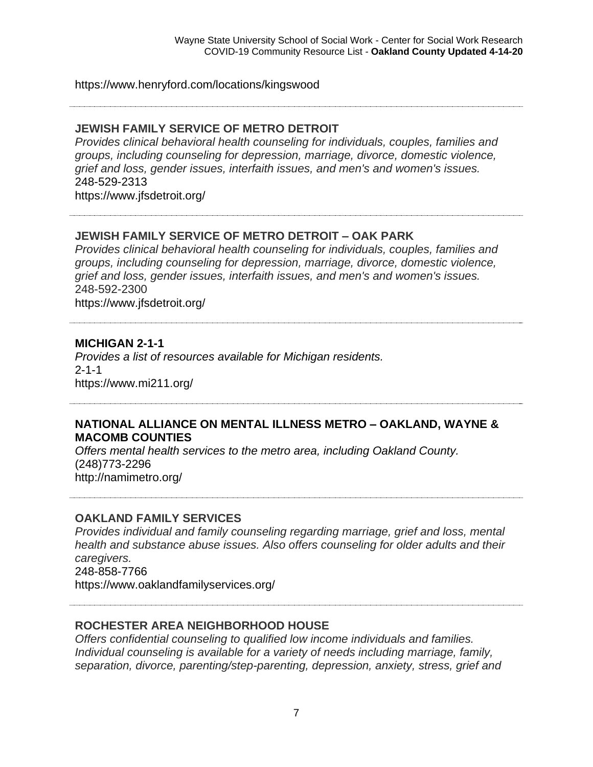#### https://www.henryford.com/locations/kingswood

#### **JEWISH FAMILY SERVICE OF METRO DETROIT**

*Provides clinical behavioral health counseling for individuals, couples, families and groups, including counseling for depression, marriage, divorce, domestic violence, grief and loss, gender issues, interfaith issues, and men's and women's issues.* 248-529-2313

https://www.jfsdetroit.org/

### **JEWISH FAMILY SERVICE OF METRO DETROIT – OAK PARK**

*Provides clinical behavioral health counseling for individuals, couples, families and groups, including counseling for depression, marriage, divorce, domestic violence, grief and loss, gender issues, interfaith issues, and men's and women's issues.* 248-592-2300 https://www.jfsdetroit.org/

#### **MICHIGAN 2-1-1**

*Provides a list of resources available for Michigan residents.*  2-1-1 https://www.mi211.org/

#### **NATIONAL ALLIANCE ON MENTAL ILLNESS METRO – OAKLAND, WAYNE & MACOMB COUNTIES**

*Offers mental health services to the metro area, including Oakland County.*  (248)773-2296 http://namimetro.org/

#### **OAKLAND FAMILY SERVICES**

*Provides individual and family counseling regarding marriage, grief and loss, mental health and substance abuse issues. Also offers counseling for older adults and their caregivers.* 248-858-7766 https://www.oaklandfamilyservices.org/

### **ROCHESTER AREA NEIGHBORHOOD HOUSE**

*Offers confidential counseling to qualified low income individuals and families. Individual counseling is available for a variety of needs including marriage, family, separation, divorce, parenting/step-parenting, depression, anxiety, stress, grief and*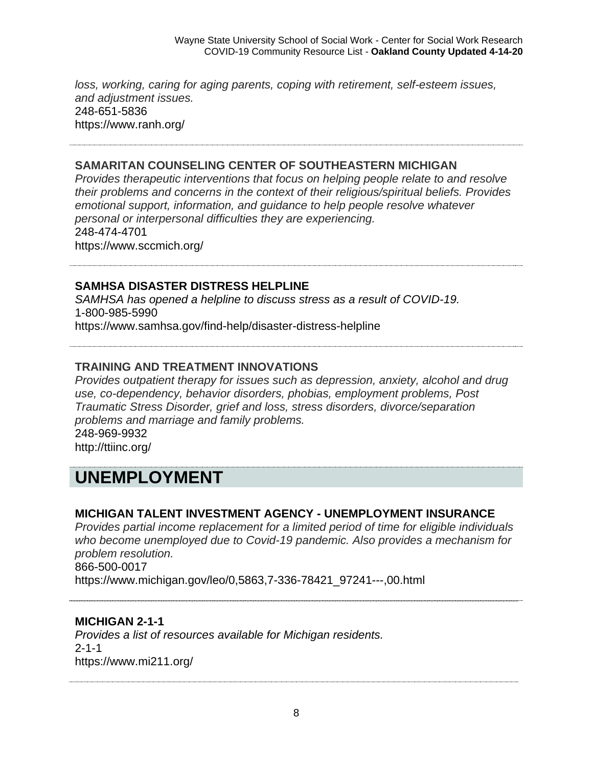*loss, working, caring for aging parents, coping with retirement, self-esteem issues, and adjustment issues.* 248-651-5836 https://www.ranh.org/

#### **SAMARITAN COUNSELING CENTER OF SOUTHEASTERN MICHIGAN**

*Provides therapeutic interventions that focus on helping people relate to and resolve their problems and concerns in the context of their religious/spiritual beliefs. Provides emotional support, information, and guidance to help people resolve whatever personal or interpersonal difficulties they are experiencing.* 248-474-4701 https://www.sccmich.org/

**SAMHSA DISASTER DISTRESS HELPLINE**

*SAMHSA has opened a helpline to discuss stress as a result of COVID-19.*  1-800-985-5990 https://www.samhsa.gov/find-help/disaster-distress-helpline

# **TRAINING AND TREATMENT INNOVATIONS**

*Provides outpatient therapy for issues such as depression, anxiety, alcohol and drug use, co-dependency, behavior disorders, phobias, employment problems, Post Traumatic Stress Disorder, grief and loss, stress disorders, divorce/separation problems and marriage and family problems.* 248-969-9932

http://ttiinc.org/

# **UNEMPLOYMENT**

# **MICHIGAN TALENT INVESTMENT AGENCY - UNEMPLOYMENT INSURANCE**

*Provides partial income replacement for a limited period of time for eligible individuals who become unemployed due to Covid-19 pandemic. Also provides a mechanism for problem resolution.* 866-500-0017

https://www.michigan.gov/leo/0,5863,7-336-78421\_97241---,00.html

# **MICHIGAN 2-1-1**

*Provides a list of resources available for Michigan residents.*  2-1-1 https://www.mi211.org/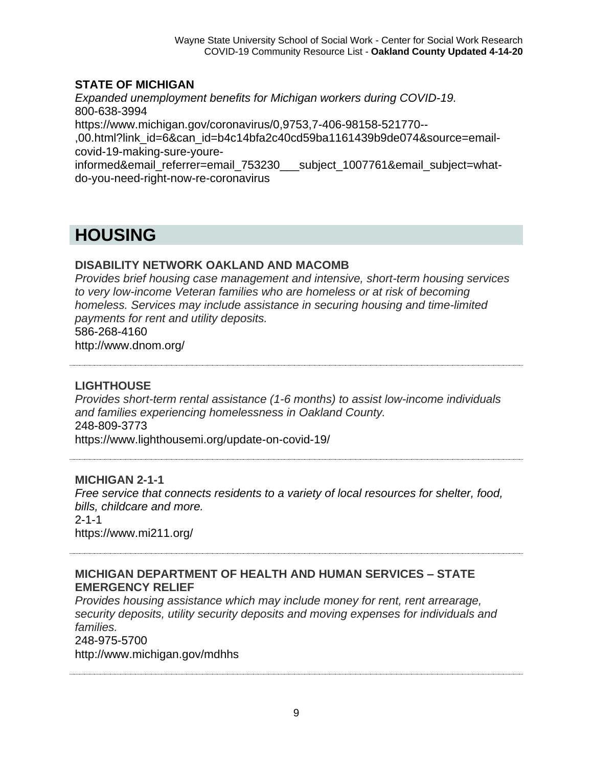# **STATE OF MICHIGAN**

*Expanded unemployment benefits for Michigan workers during COVID-19.* 800-638-3994 https://www.michigan.gov/coronavirus/0,9753,7-406-98158-521770-- ,00.html?link\_id=6&can\_id=b4c14bfa2c40cd59ba1161439b9de074&source=emailcovid-19-making-sure-youreinformed&email\_referrer=email\_753230\_\_\_subject\_1007761&email\_subject=what-

do-you-need-right-now-re-coronavirus

# **HOUSING**

# **DISABILITY NETWORK OAKLAND AND MACOMB**

*Provides brief housing case management and intensive, short-term housing services to very low-income Veteran families who are homeless or at risk of becoming homeless. Services may include assistance in securing housing and time-limited payments for rent and utility deposits.* 586-268-4160 http://www.dnom.org/

## **LIGHTHOUSE**

*Provides short-term rental assistance (1-6 months) to assist low-income individuals and families experiencing homelessness in Oakland County.* 248-809-3773 https://www.lighthousemi.org/update-on-covid-19/

#### **MICHIGAN 2-1-1**

*Free service that connects residents to a variety of local resources for shelter, food, bills, childcare and more.*   $2 - 1 - 1$ https://www.mi211.org/

### **MICHIGAN DEPARTMENT OF HEALTH AND HUMAN SERVICES – STATE EMERGENCY RELIEF**

*Provides housing assistance which may include money for rent, rent arrearage, security deposits, utility security deposits and moving expenses for individuals and families.*

#### 248-975-5700

http://www.michigan.gov/mdhhs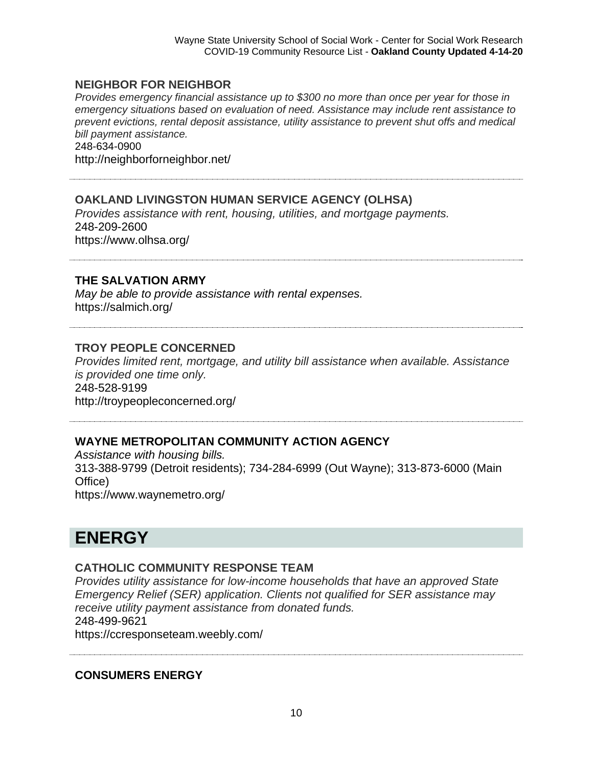#### **NEIGHBOR FOR NEIGHBOR**

*Provides emergency financial assistance up to \$300 no more than once per year for those in emergency situations based on evaluation of need. Assistance may include rent assistance to prevent evictions, rental deposit assistance, utility assistance to prevent shut offs and medical bill payment assistance.*

248-634-0900 http://neighborforneighbor.net/

# **OAKLAND LIVINGSTON HUMAN SERVICE AGENCY (OLHSA)**

*Provides assistance with rent, housing, utilities, and mortgage payments.* 248-209-2600 https://www.olhsa.org/

#### **THE SALVATION ARMY**

*May be able to provide assistance with rental expenses.*  https://salmich.org/

#### **TROY PEOPLE CONCERNED**

*Provides limited rent, mortgage, and utility bill assistance when available. Assistance is provided one time only.* 248-528-9199

http://troypeopleconcerned.org/

#### **WAYNE METROPOLITAN COMMUNITY ACTION AGENCY**

*Assistance with housing bills.* 313-388-9799 (Detroit residents); 734-284-6999 (Out Wayne); 313-873-6000 (Main Office) https://www.waynemetro.org/

# **ENERGY**

#### **CATHOLIC COMMUNITY RESPONSE TEAM**

*Provides utility assistance for low-income households that have an approved State Emergency Relief (SER) application. Clients not qualified for SER assistance may receive utility payment assistance from donated funds.* 248-499-9621 https://ccresponseteam.weebly.com/

#### **CONSUMERS ENERGY**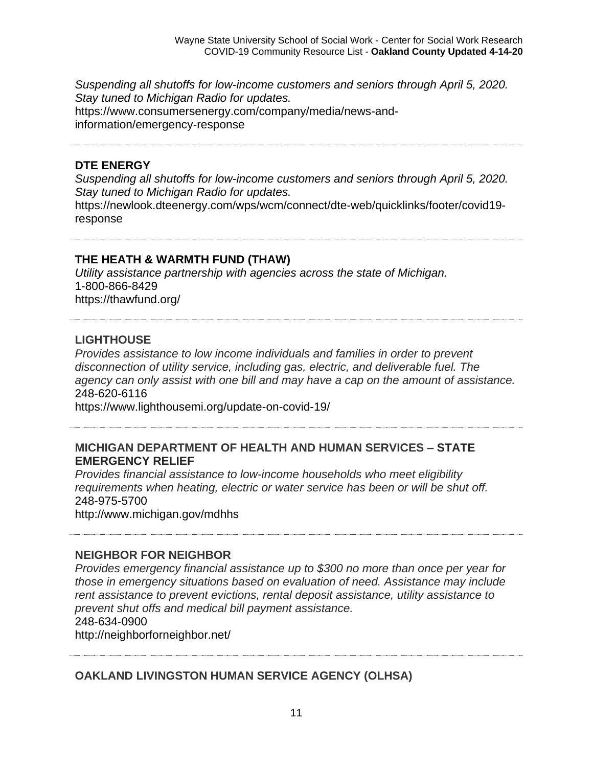*Suspending all shutoffs for low-income customers and seniors through April 5, 2020. Stay tuned to Michigan Radio for updates.* https://www.consumersenergy.com/company/media/news-andinformation/emergency-response

#### **DTE ENERGY**

*Suspending all shutoffs for low-income customers and seniors through April 5, 2020. Stay tuned to Michigan Radio for updates.*

https://newlook.dteenergy.com/wps/wcm/connect/dte-web/quicklinks/footer/covid19 response

#### **THE HEATH & WARMTH FUND (THAW)**

*Utility assistance partnership with agencies across the state of Michigan.*  1-800-866-8429 https://thawfund.org/

### **LIGHTHOUSE**

*Provides assistance to low income individuals and families in order to prevent disconnection of utility service, including gas, electric, and deliverable fuel. The agency can only assist with one bill and may have a cap on the amount of assistance.* 248-620-6116

https://www.lighthousemi.org/update-on-covid-19/

#### **MICHIGAN DEPARTMENT OF HEALTH AND HUMAN SERVICES – STATE EMERGENCY RELIEF**

*Provides financial assistance to low-income households who meet eligibility requirements when heating, electric or water service has been or will be shut off.* 248-975-5700

http://www.michigan.gov/mdhhs

#### **NEIGHBOR FOR NEIGHBOR**

*Provides emergency financial assistance up to \$300 no more than once per year for those in emergency situations based on evaluation of need. Assistance may include rent assistance to prevent evictions, rental deposit assistance, utility assistance to prevent shut offs and medical bill payment assistance.* 248-634-0900

http://neighborforneighbor.net/

# **OAKLAND LIVINGSTON HUMAN SERVICE AGENCY (OLHSA)**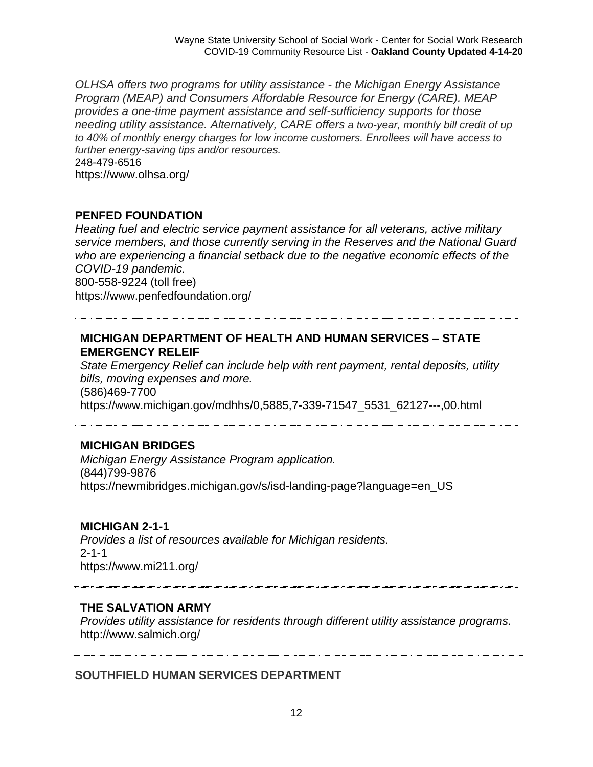*OLHSA offers two programs for utility assistance - the Michigan Energy Assistance Program (MEAP) and Consumers Affordable Resource for Energy (CARE). MEAP provides a one-time payment assistance and self-sufficiency supports for those needing utility assistance. Alternatively, CARE offers a two-year, monthly bill credit of up to 40% of monthly energy charges for low income customers. Enrollees will have access to further energy-saving tips and/or resources.*  248-479-6516 https://www.olhsa.org/

### **PENFED FOUNDATION**

*Heating fuel and electric service payment assistance for all veterans, active military service members, and those currently serving in the Reserves and the National Guard who are experiencing a financial setback due to the negative economic effects of the COVID-19 pandemic.*  800-558-9224 (toll free) https://www.penfedfoundation.org/

#### **MICHIGAN DEPARTMENT OF HEALTH AND HUMAN SERVICES – STATE EMERGENCY RELEIF**

*State Emergency Relief can include help with rent payment, rental deposits, utility bills, moving expenses and more.* (586)469-7700 https://www.michigan.gov/mdhhs/0,5885,7-339-71547\_5531\_62127---,00.html

#### **MICHIGAN BRIDGES**

*Michigan Energy Assistance Program application.*  (844)799-9876 https://newmibridges.michigan.gov/s/isd-landing-page?language=en\_US

#### **MICHIGAN 2-1-1**

*Provides a list of resources available for Michigan residents.*   $2 - 1 - 1$ https://www.mi211.org/

#### **THE SALVATION ARMY**

*Provides utility assistance for residents through different utility assistance programs.*  http://www.salmich.org/

#### **SOUTHFIELD HUMAN SERVICES DEPARTMENT**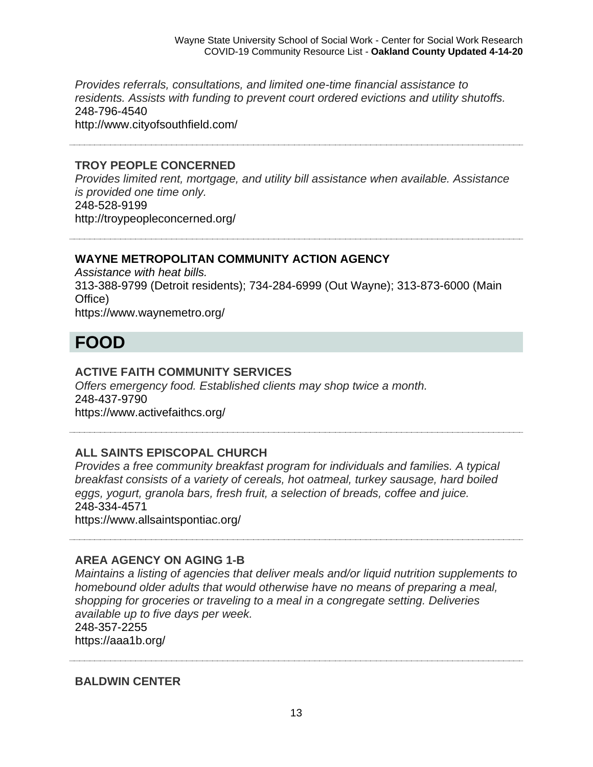*Provides referrals, consultations, and limited one-time financial assistance to residents. Assists with funding to prevent court ordered evictions and utility shutoffs.* 248-796-4540 http://www.cityofsouthfield.com/

#### **TROY PEOPLE CONCERNED**

*Provides limited rent, mortgage, and utility bill assistance when available. Assistance is provided one time only.* 248-528-9199 http://troypeopleconcerned.org/

#### **WAYNE METROPOLITAN COMMUNITY ACTION AGENCY**

*Assistance with heat bills.* 313-388-9799 (Detroit residents); 734-284-6999 (Out Wayne); 313-873-6000 (Main Office) https://www.waynemetro.org/

# **FOOD**

#### **ACTIVE FAITH COMMUNITY SERVICES**

*Offers emergency food. Established clients may shop twice a month.* 248-437-9790 https://www.activefaithcs.org/

#### **ALL SAINTS EPISCOPAL CHURCH**

*Provides a free community breakfast program for individuals and families. A typical breakfast consists of a variety of cereals, hot oatmeal, turkey sausage, hard boiled eggs, yogurt, granola bars, fresh fruit, a selection of breads, coffee and juice.* 248-334-4571

https://www.allsaintspontiac.org/

#### **AREA AGENCY ON AGING 1-B**

*Maintains a listing of agencies that deliver meals and/or liquid nutrition supplements to homebound older adults that would otherwise have no means of preparing a meal, shopping for groceries or traveling to a meal in a congregate setting. Deliveries available up to five days per week.* 248-357-2255 https://aaa1b.org/

**BALDWIN CENTER**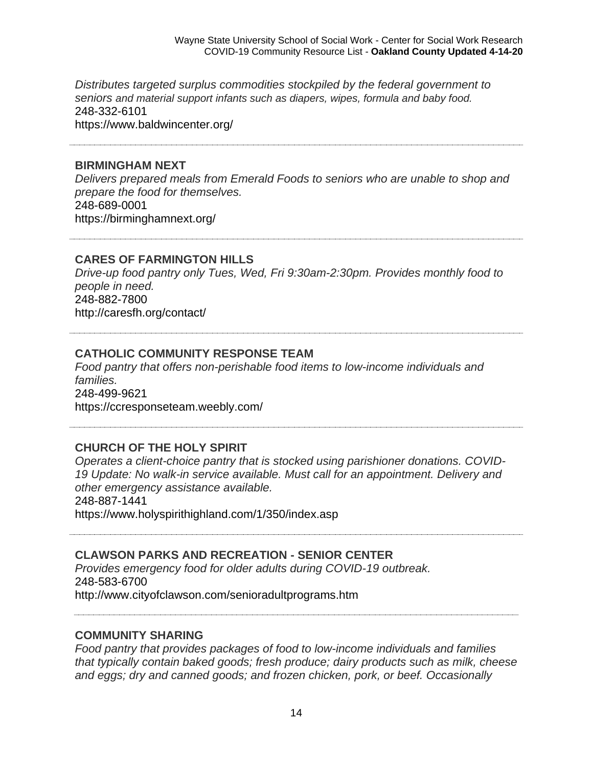*Distributes targeted surplus commodities stockpiled by the federal government to seniors and material support infants such as diapers, wipes, formula and baby food.* 248-332-6101 https://www.baldwincenter.org/

#### **BIRMINGHAM NEXT**

*Delivers prepared meals from Emerald Foods to seniors who are unable to shop and prepare the food for themselves.* 248-689-0001 https://birminghamnext.org/

#### **CARES OF FARMINGTON HILLS**

*Drive-up food pantry only Tues, Wed, Fri 9:30am-2:30pm. Provides monthly food to people in need.* 248-882-7800 http://caresfh.org/contact/

#### **CATHOLIC COMMUNITY RESPONSE TEAM**

*Food pantry that offers non-perishable food items to low-income individuals and families.* 248-499-9621 https://ccresponseteam.weebly.com/

#### **CHURCH OF THE HOLY SPIRIT**

*Operates a client-choice pantry that is stocked using parishioner donations. COVID-19 Update: No walk-in service available. Must call for an appointment. Delivery and other emergency assistance available.*

248-887-1441

https://www.holyspirithighland.com/1/350/index.asp

# **CLAWSON PARKS AND RECREATION - SENIOR CENTER**

*Provides emergency food for older adults during COVID-19 outbreak.* 248-583-6700 http://www.cityofclawson.com/senioradultprograms.htm

#### **COMMUNITY SHARING**

*Food pantry that provides packages of food to low-income individuals and families that typically contain baked goods; fresh produce; dairy products such as milk, cheese and eggs; dry and canned goods; and frozen chicken, pork, or beef. Occasionally*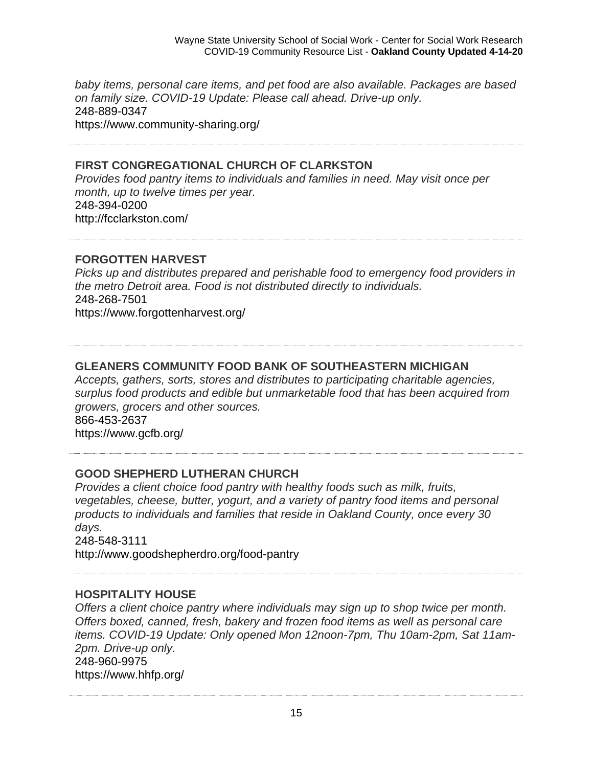*baby items, personal care items, and pet food are also available. Packages are based on family size. COVID-19 Update: Please call ahead. Drive-up only.* 248-889-0347 https://www.community-sharing.org/

# **FIRST CONGREGATIONAL CHURCH OF CLARKSTON**

*Provides food pantry items to individuals and families in need. May visit once per month, up to twelve times per year.* 248-394-0200 http://fcclarkston.com/

### **FORGOTTEN HARVEST**

*Picks up and distributes prepared and perishable food to emergency food providers in the metro Detroit area. Food is not distributed directly to individuals.* 248-268-7501 https://www.forgottenharvest.org/

# **GLEANERS COMMUNITY FOOD BANK OF SOUTHEASTERN MICHIGAN**

*Accepts, gathers, sorts, stores and distributes to participating charitable agencies, surplus food products and edible but unmarketable food that has been acquired from growers, grocers and other sources.* 866-453-2637 https://www.gcfb.org/

# **GOOD SHEPHERD LUTHERAN CHURCH**

*Provides a client choice food pantry with healthy foods such as milk, fruits, vegetables, cheese, butter, yogurt, and a variety of pantry food items and personal products to individuals and families that reside in Oakland County, once every 30 days.* 248-548-3111

http://www.goodshepherdro.org/food-pantry

#### **HOSPITALITY HOUSE**

*Offers a client choice pantry where individuals may sign up to shop twice per month. Offers boxed, canned, fresh, bakery and frozen food items as well as personal care items. COVID-19 Update: Only opened Mon 12noon-7pm, Thu 10am-2pm, Sat 11am-2pm. Drive-up only.* 248-960-9975 https://www.hhfp.org/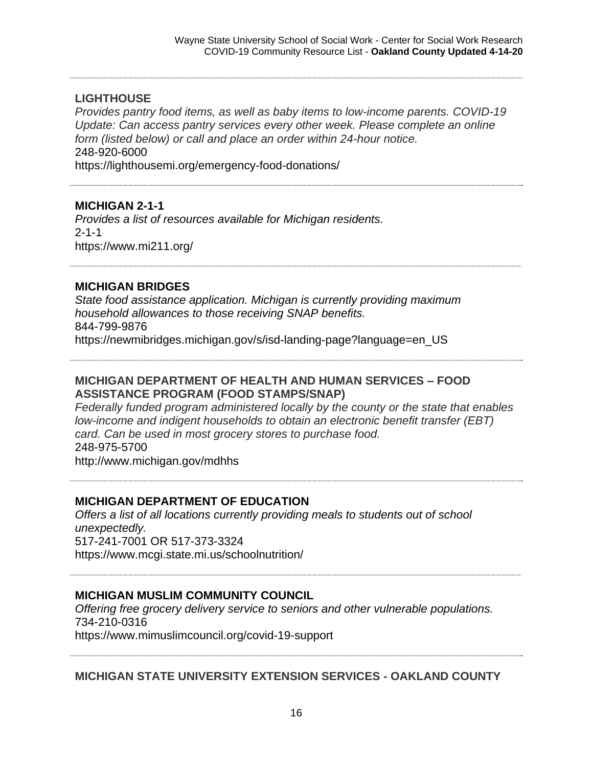# **LIGHTHOUSE**

*Provides pantry food items, as well as baby items to low-income parents. COVID-19 Update: Can access pantry services every other week. Please complete an online form (listed below) or call and place an order within 24-hour notice.*  248-920-6000

https://lighthousemi.org/emergency-food-donations/

# **MICHIGAN 2-1-1**

*Provides a list of resources available for Michigan residents.*  2-1-1 https://www.mi211.org/

# **MICHIGAN BRIDGES**

*State food assistance application. Michigan is currently providing maximum household allowances to those receiving SNAP benefits.*  844-799-9876 https://newmibridges.michigan.gov/s/isd-landing-page?language=en\_US

#### **MICHIGAN DEPARTMENT OF HEALTH AND HUMAN SERVICES – FOOD ASSISTANCE PROGRAM (FOOD STAMPS/SNAP)**

*Federally funded program administered locally by the county or the state that enables low-income and indigent households to obtain an electronic benefit transfer (EBT) card. Can be used in most grocery stores to purchase food.* 248-975-5700 http://www.michigan.gov/mdhhs

# **MICHIGAN DEPARTMENT OF EDUCATION**

*Offers a list of all locations currently providing meals to students out of school unexpectedly.*  517-241-7001 OR 517-373-3324 https://www.mcgi.state.mi.us/schoolnutrition/

# **MICHIGAN MUSLIM COMMUNITY COUNCIL**

*Offering free grocery delivery service to seniors and other vulnerable populations.*  734-210-0316 https://www.mimuslimcouncil.org/covid-19-support

# **MICHIGAN STATE UNIVERSITY EXTENSION SERVICES - OAKLAND COUNTY**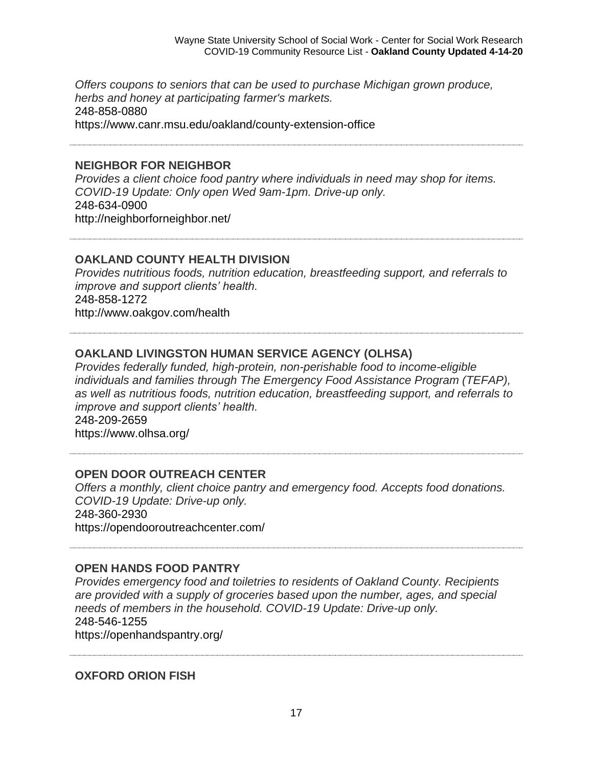*Offers coupons to seniors that can be used to purchase Michigan grown produce, herbs and honey at participating farmer's markets.* 248-858-0880 https://www.canr.msu.edu/oakland/county-extension-office

#### **NEIGHBOR FOR NEIGHBOR**

*Provides a client choice food pantry where individuals in need may shop for items. COVID-19 Update: Only open Wed 9am-1pm. Drive-up only.*  248-634-0900 http://neighborforneighbor.net/

#### **OAKLAND COUNTY HEALTH DIVISION**

*Provides nutritious foods, nutrition education, breastfeeding support, and referrals to improve and support clients' health.* 248-858-1272 http://www.oakgov.com/health

### **OAKLAND LIVINGSTON HUMAN SERVICE AGENCY (OLHSA)**

*Provides federally funded, high-protein, non-perishable food to income-eligible individuals and families through The Emergency Food Assistance Program (TEFAP), as well as nutritious foods, nutrition education, breastfeeding support, and referrals to improve and support clients' health.* 248-209-2659

https://www.olhsa.org/

#### **OPEN DOOR OUTREACH CENTER**

*Offers a monthly, client choice pantry and emergency food. Accepts food donations. COVID-19 Update: Drive-up only.*  248-360-2930 https://opendooroutreachcenter.com/

#### **OPEN HANDS FOOD PANTRY**

*Provides emergency food and toiletries to residents of Oakland County. Recipients are provided with a supply of groceries based upon the number, ages, and special needs of members in the household. COVID-19 Update: Drive-up only.*  248-546-1255 https://openhandspantry.org/

**OXFORD ORION FISH**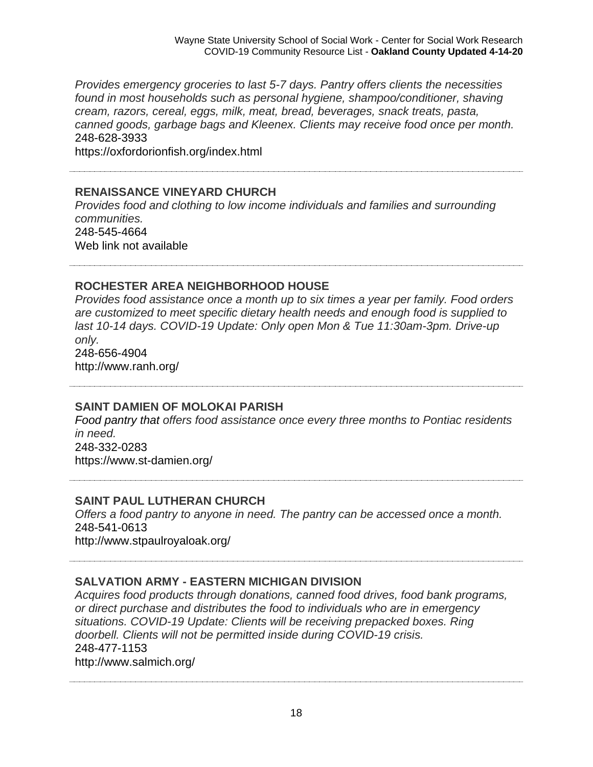*Provides emergency groceries to last 5-7 days. Pantry offers clients the necessities found in most households such as personal hygiene, shampoo/conditioner, shaving cream, razors, cereal, eggs, milk, meat, bread, beverages, snack treats, pasta, canned goods, garbage bags and Kleenex. Clients may receive food once per month.* 248-628-3933

https://oxfordorionfish.org/index.html

#### **RENAISSANCE VINEYARD CHURCH**

*Provides food and clothing to low income individuals and families and surrounding communities.*  248-545-4664 Web link not available

#### **ROCHESTER AREA NEIGHBORHOOD HOUSE**

*Provides food assistance once a month up to six times a year per family. Food orders are customized to meet specific dietary health needs and enough food is supplied to last 10-14 days. COVID-19 Update: Only open Mon & Tue 11:30am-3pm. Drive-up only.* 248-656-4904

http://www.ranh.org/

#### **SAINT DAMIEN OF MOLOKAI PARISH**

*Food pantry that offers food assistance once every three months to Pontiac residents in need.* 248-332-0283 https://www.st-damien.org/

**SAINT PAUL LUTHERAN CHURCH**

*Offers a food pantry to anyone in need. The pantry can be accessed once a month.* 248-541-0613 http://www.stpaulroyaloak.org/

#### **SALVATION ARMY - EASTERN MICHIGAN DIVISION**

*Acquires food products through donations, canned food drives, food bank programs, or direct purchase and distributes the food to individuals who are in emergency situations. COVID-19 Update: Clients will be receiving prepacked boxes. Ring doorbell. Clients will not be permitted inside during COVID-19 crisis.* 248-477-1153 http://www.salmich.org/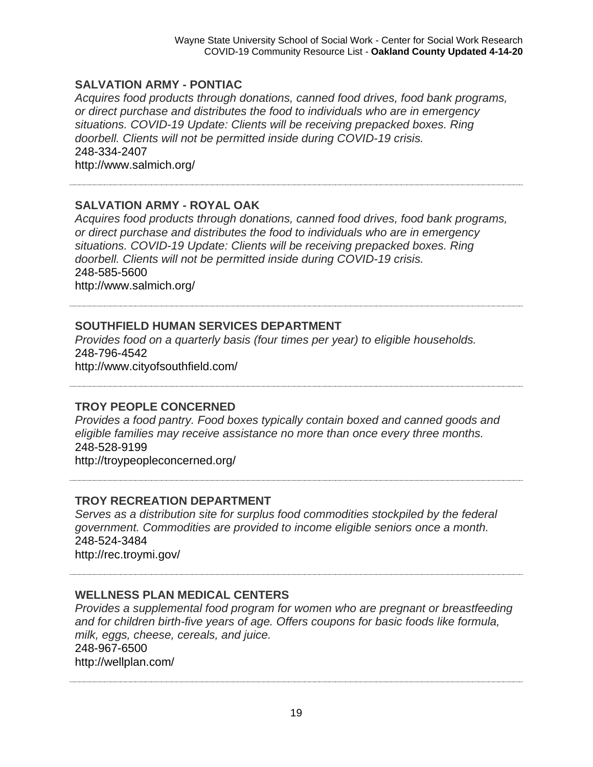#### **SALVATION ARMY - PONTIAC**

*Acquires food products through donations, canned food drives, food bank programs, or direct purchase and distributes the food to individuals who are in emergency situations. COVID-19 Update: Clients will be receiving prepacked boxes. Ring doorbell. Clients will not be permitted inside during COVID-19 crisis.* 248-334-2407 http://www.salmich.org/

### **SALVATION ARMY - ROYAL OAK**

*Acquires food products through donations, canned food drives, food bank programs, or direct purchase and distributes the food to individuals who are in emergency situations. COVID-19 Update: Clients will be receiving prepacked boxes. Ring doorbell. Clients will not be permitted inside during COVID-19 crisis.* 248-585-5600

http://www.salmich.org/

# **SOUTHFIELD HUMAN SERVICES DEPARTMENT**

*Provides food on a quarterly basis (four times per year) to eligible households.* 248-796-4542 http://www.cityofsouthfield.com/

#### **TROY PEOPLE CONCERNED**

*Provides a food pantry. Food boxes typically contain boxed and canned goods and eligible families may receive assistance no more than once every three months.* 248-528-9199 http://troypeopleconcerned.org/

**TROY RECREATION DEPARTMENT**

*Serves as a distribution site for surplus food commodities stockpiled by the federal government. Commodities are provided to income eligible seniors once a month.* 248-524-3484 http://rec.troymi.gov/

#### **WELLNESS PLAN MEDICAL CENTERS**

*Provides a supplemental food program for women who are pregnant or breastfeeding and for children birth-five years of age. Offers coupons for basic foods like formula, milk, eggs, cheese, cereals, and juice.* 248-967-6500 http://wellplan.com/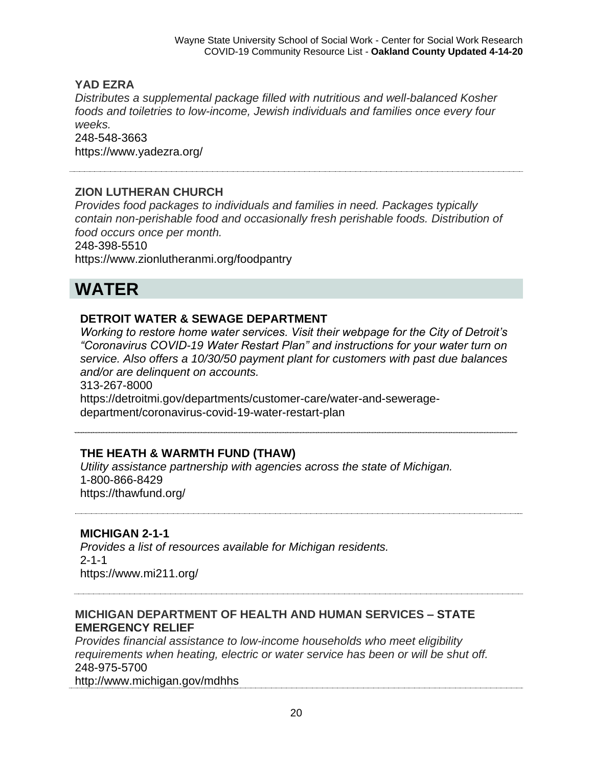### **YAD EZRA**

*Distributes a supplemental package filled with nutritious and well-balanced Kosher foods and toiletries to low-income, Jewish individuals and families once every four weeks.* 248-548-3663 https://www.yadezra.org/

#### **ZION LUTHERAN CHURCH**

*Provides food packages to individuals and families in need. Packages typically contain non-perishable food and occasionally fresh perishable foods. Distribution of food occurs once per month.*

248-398-5510 https://www.zionlutheranmi.org/foodpantry

# **WATER**

### **DETROIT WATER & SEWAGE DEPARTMENT**

*Working to restore home water services. Visit their webpage for the City of Detroit's "Coronavirus COVID-19 Water Restart Plan" and instructions for your water turn on service. Also offers a 10/30/50 payment plant for customers with past due balances and/or are delinquent on accounts.* 313-267-8000

https://detroitmi.gov/departments/customer-care/water-and-seweragedepartment/coronavirus-covid-19-water-restart-plan

# **THE HEATH & WARMTH FUND (THAW)**

*Utility assistance partnership with agencies across the state of Michigan.*  1-800-866-8429 https://thawfund.org/

# **MICHIGAN 2-1-1**

*Provides a list of resources available for Michigan residents.*  2-1-1 https://www.mi211.org/

# **MICHIGAN DEPARTMENT OF HEALTH AND HUMAN SERVICES – STATE EMERGENCY RELIEF**

*Provides financial assistance to low-income households who meet eligibility requirements when heating, electric or water service has been or will be shut off.* 248-975-5700

http://www.michigan.gov/mdhhs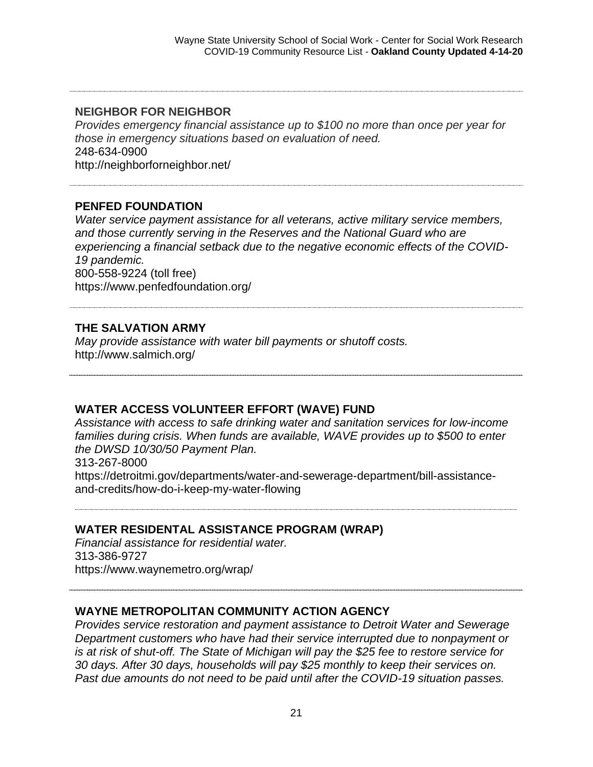#### **NEIGHBOR FOR NEIGHBOR**

*Provides emergency financial assistance up to \$100 no more than once per year for those in emergency situations based on evaluation of need.* 248-634-0900 http://neighborforneighbor.net/

#### **PENFED FOUNDATION**

*Water service payment assistance for all veterans, active military service members, and those currently serving in the Reserves and the National Guard who are experiencing a financial setback due to the negative economic effects of the COVID-19 pandemic.* 800-558-9224 (toll free) https://www.penfedfoundation.org/

#### **THE SALVATION ARMY**

*May provide assistance with water bill payments or shutoff costs.* http://www.salmich.org/

#### **WATER ACCESS VOLUNTEER EFFORT (WAVE) FUND**

*Assistance with access to safe drinking water and sanitation services for low-income families during crisis. When funds are available, WAVE provides up to \$500 to enter the DWSD 10/30/50 Payment Plan.* 313-267-8000 https://detroitmi.gov/departments/water-and-sewerage-department/bill-assistanceand-credits/how-do-i-keep-my-water-flowing

#### **WATER RESIDENTAL ASSISTANCE PROGRAM (WRAP)**

*Financial assistance for residential water.* 313-386-9727 https://www.waynemetro.org/wrap/

#### **WAYNE METROPOLITAN COMMUNITY ACTION AGENCY**

*Provides service restoration and payment assistance to Detroit Water and Sewerage Department customers who have had their service interrupted due to nonpayment or is at risk of shut-off. The State of Michigan will pay the \$25 fee to restore service for 30 days. After 30 days, households will pay \$25 monthly to keep their services on. Past due amounts do not need to be paid until after the COVID-19 situation passes.*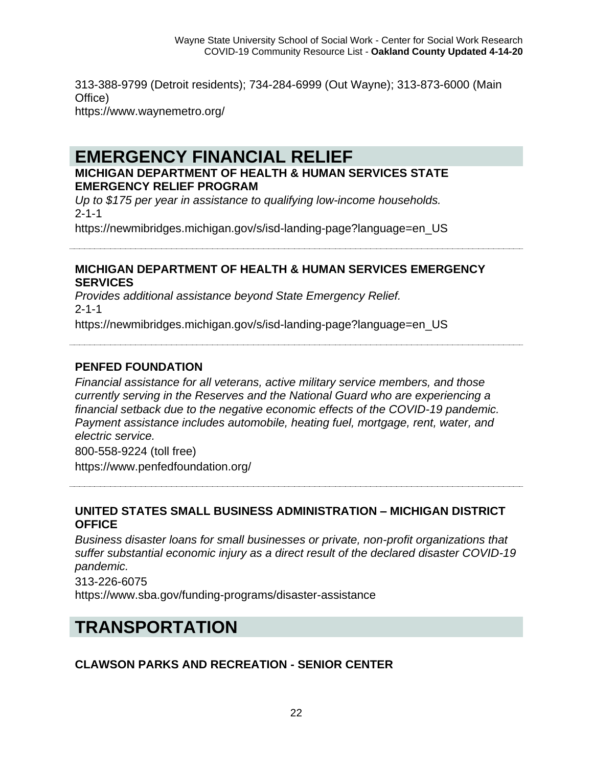313-388-9799 (Detroit residents); 734-284-6999 (Out Wayne); 313-873-6000 (Main Office) https://www.waynemetro.org/

# **EMERGENCY FINANCIAL RELIEF**

### **MICHIGAN DEPARTMENT OF HEALTH & HUMAN SERVICES STATE EMERGENCY RELIEF PROGRAM**

*Up to \$175 per year in assistance to qualifying low-income households.* 2-1-1

https://newmibridges.michigan.gov/s/isd-landing-page?language=en\_US

#### **MICHIGAN DEPARTMENT OF HEALTH & HUMAN SERVICES EMERGENCY SERVICES**

*Provides additional assistance beyond State Emergency Relief.* 2-1-1

https://newmibridges.michigan.gov/s/isd-landing-page?language=en\_US

# **PENFED FOUNDATION**

*Financial assistance for all veterans, active military service members, and those currently serving in the Reserves and the National Guard who are experiencing a financial setback due to the negative economic effects of the COVID-19 pandemic. Payment assistance includes automobile, heating fuel, mortgage, rent, water, and electric service.*

800-558-9224 (toll free)

https://www.penfedfoundation.org/

# **UNITED STATES SMALL BUSINESS ADMINISTRATION – MICHIGAN DISTRICT OFFICE**

*Business disaster loans for small businesses or private, non-profit organizations that suffer substantial economic injury as a direct result of the declared disaster COVID-19 pandemic.*

313-226-6075 https://www.sba.gov/funding-programs/disaster-assistance

# **TRANSPORTATION**

# **CLAWSON PARKS AND RECREATION - SENIOR CENTER**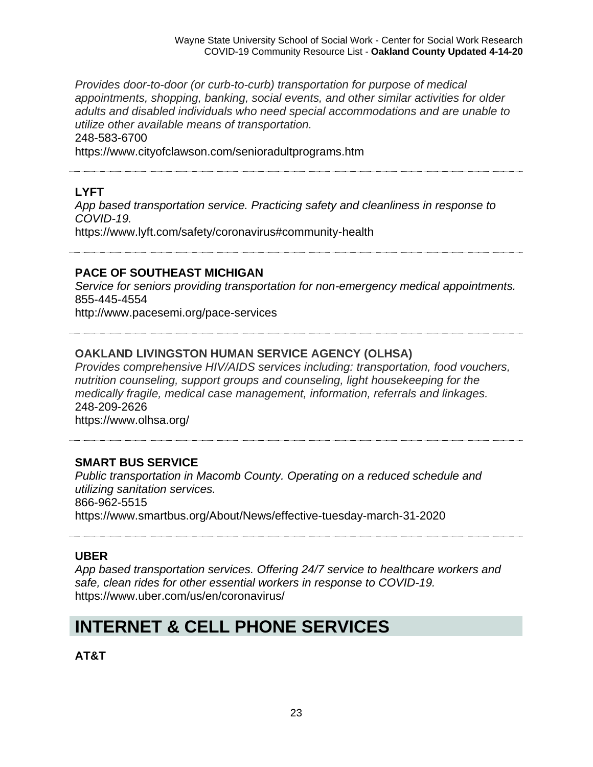*Provides door-to-door (or curb-to-curb) transportation for purpose of medical appointments, shopping, banking, social events, and other similar activities for older adults and disabled individuals who need special accommodations and are unable to utilize other available means of transportation.* 248-583-6700 https://www.cityofclawson.com/senioradultprograms.htm

# **LYFT**

*App based transportation service. Practicing safety and cleanliness in response to COVID-19.* https://www.lyft.com/safety/coronavirus#community-health

#### **PACE OF SOUTHEAST MICHIGAN**

*Service for seniors providing transportation for non-emergency medical appointments.*  855-445-4554

http://www.pacesemi.org/pace-services

# **OAKLAND LIVINGSTON HUMAN SERVICE AGENCY (OLHSA)**

*Provides comprehensive HIV/AIDS services including: transportation, food vouchers, nutrition counseling, support groups and counseling, light housekeeping for the medically fragile, medical case management, information, referrals and linkages.* 248-209-2626 https://www.olhsa.org/

# **SMART BUS SERVICE**

*Public transportation in Macomb County. Operating on a reduced schedule and utilizing sanitation services.*  866-962-5515 https://www.smartbus.org/About/News/effective-tuesday-march-31-2020

#### **UBER**

*App based transportation services. Offering 24/7 service to healthcare workers and safe, clean rides for other essential workers in response to COVID-19.*  https://www.uber.com/us/en/coronavirus/

# **INTERNET & CELL PHONE SERVICES**

**AT&T**